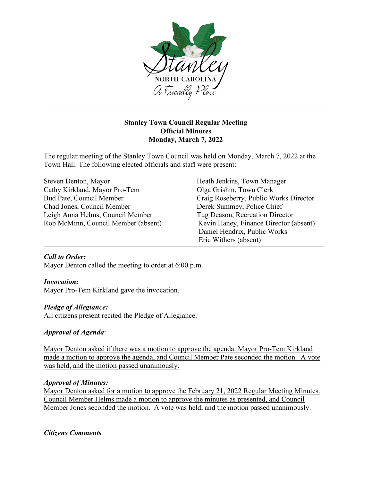

# **Stanley Town Council Regular Meeting Official Minutes Monday, March 7, 2022**

The regular meeting of the Stanley Town Council was held on Monday, March 7, 2022 at the Town Hall. The following elected officials and staff were present:

| Steven Denton, Mayor                | Heath Jenkins, Town Manager            |
|-------------------------------------|----------------------------------------|
| Cathy Kirkland, Mayor Pro-Tem       | Olga Grishin, Town Clerk               |
| Bud Pate, Council Member            | Craig Roseberry, Public Works Director |
| Chad Jones, Council Member          | Derek Summey, Police Chief             |
| Leigh Anna Helms, Council Member    | Tug Deason, Recreation Director        |
| Rob McMinn, Council Member (absent) | Kevin Haney, Finance Director (absent) |
|                                     | Daniel Hendrix, Public Works           |
|                                     | Eric Withers (absent)                  |

## *Call to Order:*

Mayor Denton called the meeting to order at 6:00 p.m.

## *Invocation:*

Mayor Pro-Tem Kirkland gave the invocation.

## *Pledge of Allegiance:*

All citizens present recited the Pledge of Allegiance.

## *Approval of Agenda*:

Mayor Denton asked if there was a motion to approve the agenda. Mayor Pro-Tem Kirkland made a motion to approve the agenda, and Council Member Pate seconded the motion. A vote was held, and the motion passed unanimously.

#### *Approval of Minutes:*

Mayor Denton asked for a motion to approve the February 21, 2022 Regular Meeting Minutes. Council Member Helms made a motion to approve the minutes as presented, and Council Member Jones seconded the motion. A vote was held, and the motion passed unanimously.

## *Citizens Comments*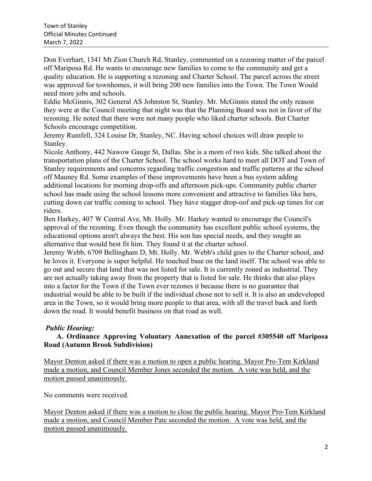Don Everhart, 1341 Mt Zion Church Rd, Stanley, commented on a rezoning matter of the parcel off Mariposa Rd. He wants to encourage new families to come to the community and get a quality education. He is supporting a rezoning and Charter School. The parcel across the street was approved for townhomes, it will bring 200 new families into the Town. The Town Would need more jobs and schools.

Eddie McGinnis, 302 General AS Johnston St, Stanley. Mr. McGinnis stated the only reason they were at the Council meeting that night was that the Planning Board was not in favor of the rezoning. He noted that there were not many people who liked charter schools. But Charter Schools encourage competition.

Jeremy Rumfell, 324 Louise Dr, Stanley, NC. Having school choices will draw people to Stanley.

Nicole Anthony, 442 Nawow Gauge St, Dallas. She is a mom of two kids. She talked about the transportation plans of the Charter School. The school works hard to meet all DOT and Town of Stanley requirements and concerns regarding traffic congestion and traffic patterns at the school off Mauney Rd. Some examples of these improvements have been a bus system adding additional locations for morning drop-offs and afternoon pick-ups. Community public charter school has made using the school lessons more convenient and attractive to families like hers, cutting down car traffic coming to school. They have stagger drop-oof and pick-up times for car riders.

Ben Harkey, 407 W Central Ave, Mt. Holly. Mr. Harkey wanted to encourage the Council's approval of the rezoning. Even though the community has excellent public school systems, the educational options aren't always the best. His son has special needs, and they sought an alternative that would best fit him. They found it at the charter school.

Jeremy Webb, 6709 Bellingham D, Mt. Holly. Mr. Webb's child goes to the Charter school, and he loves it. Everyone is super helpful. He touched base on the land itself. The school was able to go out and secure that land that was not listed for sale. It is currently zoned as industrial. They are not actually taking away from the property that is listed for sale. He thinks that also plays into a factor for the Town if the Town ever rezones it because there is no guarantee that industrial would be able to be built if the individual chose not to sell it. It is also an undeveloped area in the Town, so it would bring more people to that area, with all the travel back and forth down the road. It would benefit business on that road as well.

## *Public Hearing:*

## **A. Ordinance Approving Voluntary Annexation of the parcel #305540 off Mariposa Road (Autumn Brook Subdivision)**

Mayor Denton asked if there was a motion to open a public hearing. Mayor Pro-Tem Kirkland made a motion, and Council Member Jones seconded the motion. A vote was held, and the motion passed unanimously.

No comments were received.

Mayor Denton asked if there was a motion to close the public hearing. Mayor Pro-Tem Kirkland made a motion, and Council Member Pate seconded the motion. A vote was held, and the motion passed unanimously.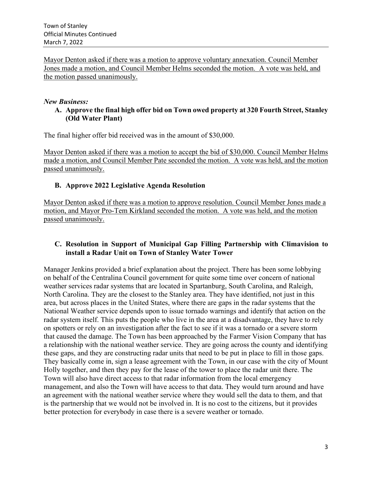Mayor Denton asked if there was a motion to approve voluntary annexation. Council Member Jones made a motion, and Council Member Helms seconded the motion. A vote was held, and the motion passed unanimously.

#### *New Business:*

**A. Approve the final high offer bid on Town owed property at 320 Fourth Street, Stanley (Old Water Plant)**

The final higher offer bid received was in the amount of \$30,000.

Mayor Denton asked if there was a motion to accept the bid of \$30,000. Council Member Helms made a motion, and Council Member Pate seconded the motion. A vote was held, and the motion passed unanimously.

## **B. Approve 2022 Legislative Agenda Resolution**

Mayor Denton asked if there was a motion to approve resolution. Council Member Jones made a motion, and Mayor Pro-Tem Kirkland seconded the motion. A vote was held, and the motion passed unanimously.

## **C. Resolution in Support of Municipal Gap Filling Partnership with Climavision to install a Radar Unit on Town of Stanley Water Tower**

Manager Jenkins provided a brief explanation about the project. There has been some lobbying on behalf of the Centralina Council government for quite some time over concern of national weather services radar systems that are located in Spartanburg, South Carolina, and Raleigh, North Carolina. They are the closest to the Stanley area. They have identified, not just in this area, but across places in the United States, where there are gaps in the radar systems that the National Weather service depends upon to issue tornado warnings and identify that action on the radar system itself. This puts the people who live in the area at a disadvantage, they have to rely on spotters or rely on an investigation after the fact to see if it was a tornado or a severe storm that caused the damage. The Town has been approached by the Farmer Vision Company that has a relationship with the national weather service. They are going across the county and identifying these gaps, and they are constructing radar units that need to be put in place to fill in those gaps. They basically come in, sign a lease agreement with the Town, in our case with the city of Mount Holly together, and then they pay for the lease of the tower to place the radar unit there. The Town will also have direct access to that radar information from the local emergency management, and also the Town will have access to that data. They would turn around and have an agreement with the national weather service where they would sell the data to them, and that is the partnership that we would not be involved in. It is no cost to the citizens, but it provides better protection for everybody in case there is a severe weather or tornado.